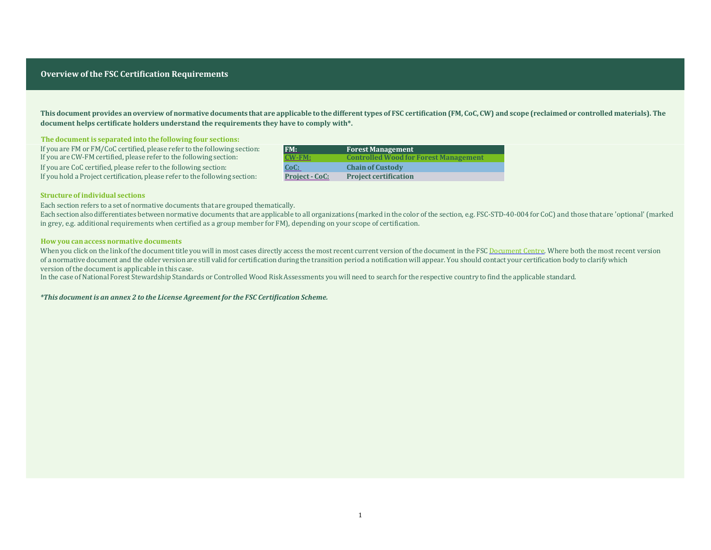# <span id="page-0-0"></span>**Overview ofthe FSC Certification Requirements**

This document provides an overview of normative documents that are applicable to the different types of FSC certification (FM, CoC, CW) and scope (reclaimed or controlled materials). The **document helps certificate holders understand the requirements they have to comply with\*.**

**The document is separated into the following four sections:** If you are FM or FM/CoC certified, please refer to the following section: If you are CW-FM certified, please refer to the following section: If you are CoC certified, please refer to the following section: If you hold a Project certification, please refer to the following section:

Each section also differentiates between normative documents that are applicable to all organizations (marked in the color of the section, e.g. FSC-STD-40-004 for CoC) and those that are 'optional' (marked in grey, e.g. additional requirements when certified as a group member for FM), depending on your scope of certification.

### **Structure of individual sections**

Each section refers to a set of normative documents that are grouped thematically.

## **How you canaccess normative documents**

When you click on the link of the document title you will in most cases directly access the most recent current version of the document in the FSC [Document](https://fsc.org/en/document-centre) Centre. Where both the most recent version of a normative document and the older version are still valid for certification during the transition period a notification will appear. You should contact your certification body to clarifywhich version of the document is applicable in this case.

In the case of National Forest Stewardship Standards or Controlled Wood Risk Assessments you will need to search for the respective country to find the applicable standard.

*\*This document is an annex 2 to the License Agreement for the FSC Certification Scheme.*

| FM:                   | <b>Forest Management</b>                     |
|-----------------------|----------------------------------------------|
| <b>CW-FM:</b>         | <b>Controlled Wood for Forest Management</b> |
| CoC:                  | <b>Chain of Custody</b>                      |
| <b>Project - CoC:</b> | <b>Project certification</b>                 |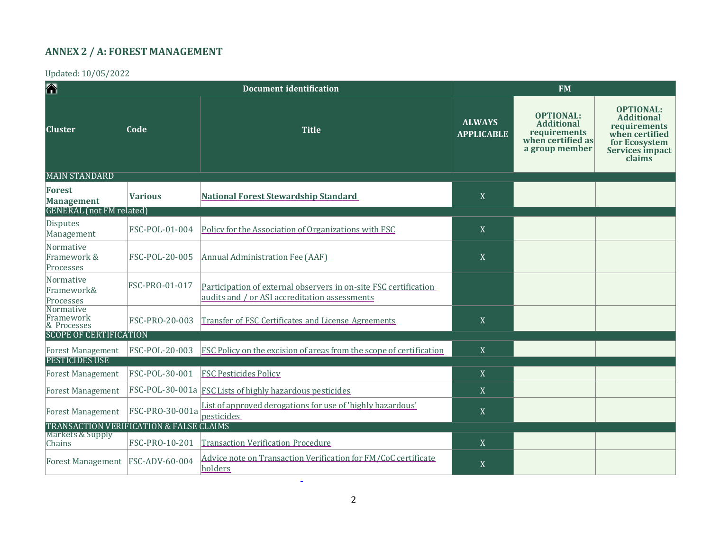# **ANNEX 2 / A: FOREST MANAGEMENT**

Updated: 10/05/2022

<span id="page-1-0"></span>

| <mark>△</mark>                                                         |                 | <b>Document identification</b>                                                                                    | <b>FM</b>                          |                                                                                              |                                                                                                                       |  |  |  |  |
|------------------------------------------------------------------------|-----------------|-------------------------------------------------------------------------------------------------------------------|------------------------------------|----------------------------------------------------------------------------------------------|-----------------------------------------------------------------------------------------------------------------------|--|--|--|--|
| <b>Cluster</b>                                                         | Code            | <b>Title</b>                                                                                                      | <b>ALWAYS</b><br><b>APPLICABLE</b> | <b>OPTIONAL:</b><br><b>Additional</b><br>requirements<br>when certified as<br>a group member | <b>OPTIONAL:</b><br><b>Additional</b><br>requirements<br>when certified<br>for Ecosystem<br>Services impact<br>claims |  |  |  |  |
| <b>MAIN STANDARD</b>                                                   |                 |                                                                                                                   |                                    |                                                                                              |                                                                                                                       |  |  |  |  |
| <b>Forest</b><br><b>Management</b>                                     | <b>Various</b>  | <b>National Forest Stewardship Standard</b>                                                                       | $\overline{X}$                     |                                                                                              |                                                                                                                       |  |  |  |  |
| <b>GENERAL</b> (not FM related)                                        |                 |                                                                                                                   |                                    |                                                                                              |                                                                                                                       |  |  |  |  |
| <b>Disputes</b><br>Management                                          | FSC-POL-01-004  | Policy for the Association of Organizations with FSC                                                              | X                                  |                                                                                              |                                                                                                                       |  |  |  |  |
| Normative<br>Framework &<br>Processes                                  | FSC-POL-20-005  | Annual Administration Fee (AAF)                                                                                   | X                                  |                                                                                              |                                                                                                                       |  |  |  |  |
| Normative<br>Framework&<br>Processes                                   | FSC-PRO-01-017  | Participation of external observers in on-site FSC certification<br>audits and / or ASI accreditation assessments |                                    |                                                                                              |                                                                                                                       |  |  |  |  |
| Normative<br>Framework<br>& Processes                                  | FSC-PRO-20-003  | Transfer of FSC Certificates and License Agreements                                                               | X                                  |                                                                                              |                                                                                                                       |  |  |  |  |
| <b>SCOPE OF CERTIFICATION</b>                                          |                 |                                                                                                                   |                                    |                                                                                              |                                                                                                                       |  |  |  |  |
| <b>Forest Management</b>                                               | FSC-POL-20-003  | FSC Policy on the excision of areas from the scope of certification                                               | $\overline{X}$                     |                                                                                              |                                                                                                                       |  |  |  |  |
| <b>PESTICIDES USE</b>                                                  |                 |                                                                                                                   |                                    |                                                                                              |                                                                                                                       |  |  |  |  |
| <b>Forest Management</b>                                               | FSC-POL-30-001  | <b>FSC Pesticides Policy</b>                                                                                      | X                                  |                                                                                              |                                                                                                                       |  |  |  |  |
| <b>Forest Management</b>                                               |                 | FSC-POL-30-001a FSC Lists of highly hazardous pesticides                                                          | $\overline{X}$                     |                                                                                              |                                                                                                                       |  |  |  |  |
| <b>Forest Management</b>                                               | FSC-PRO-30-001a | List of approved derogations for use of 'highly hazardous'<br>pesticides                                          | X                                  |                                                                                              |                                                                                                                       |  |  |  |  |
| TRANSACTION VERIFICATION & FALSE CLAIMS<br><b>Markets &amp; Supply</b> |                 |                                                                                                                   |                                    |                                                                                              |                                                                                                                       |  |  |  |  |
| Chains                                                                 | FSC-PRO-10-201  | <b>Transaction Verification Procedure</b>                                                                         | X                                  |                                                                                              |                                                                                                                       |  |  |  |  |
| <b>Forest Management</b>                                               | FSC-ADV-60-004  | Advice note on Transaction Verification for FM/CoC certificate<br>holders                                         | X                                  |                                                                                              |                                                                                                                       |  |  |  |  |

 $\omega$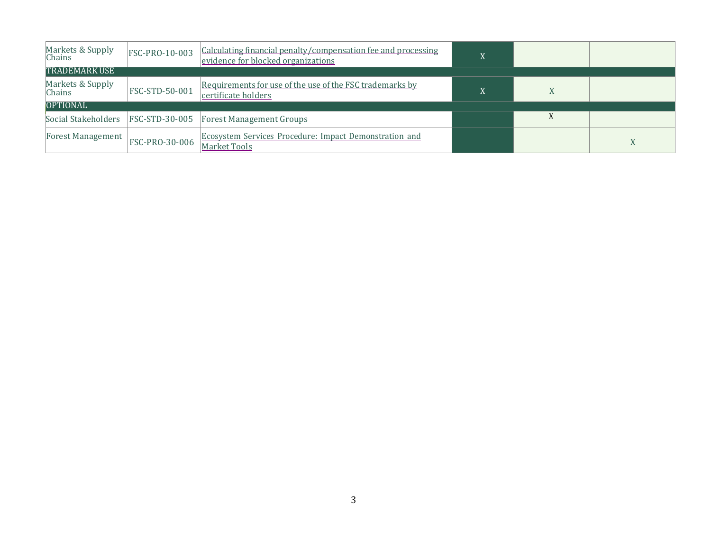| Markets & Supply<br>Chains | FSC-PRO-10-003        | Calculating financial penalty/compensation fee and processing<br>evidence for blocked organizations |   |  |
|----------------------------|-----------------------|-----------------------------------------------------------------------------------------------------|---|--|
| <b>TRADEMARK USE</b>       |                       |                                                                                                     |   |  |
| Markets & Supply<br>Chains | FSC-STD-50-001        | Requirements for use of the use of the FSC trademarks by<br>certificate holders                     |   |  |
| <b>OPTIONAL</b>            |                       |                                                                                                     |   |  |
| Social Stakeholders        | <b>FSC-STD-30-005</b> | <b>Forest Management Groups</b>                                                                     | v |  |
| <b>Forest Management</b>   | FSC-PRO-30-006        | Ecosystem Services Procedure: Impact Demonstration and<br><b>Market Tools</b>                       |   |  |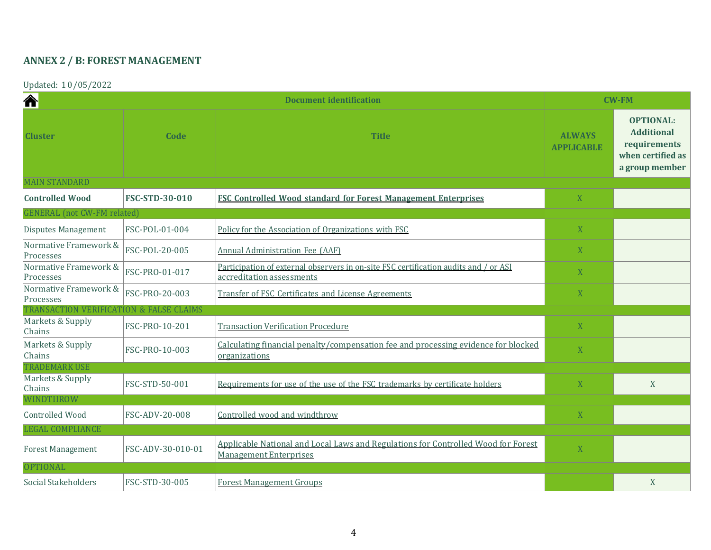# **ANNEX 2 / B: FOREST MANAGEMENT**

Updated: 10/05/2022

<span id="page-3-0"></span>

| 合                                                                      | <b>Document identification</b> |                                                                                                                    | <b>CW-FM</b>                       |                                                                                              |  |
|------------------------------------------------------------------------|--------------------------------|--------------------------------------------------------------------------------------------------------------------|------------------------------------|----------------------------------------------------------------------------------------------|--|
| <b>Cluster</b>                                                         | Code                           | <b>Title</b>                                                                                                       | <b>ALWAYS</b><br><b>APPLICABLE</b> | <b>OPTIONAL:</b><br><b>Additional</b><br>requirements<br>when certified as<br>a group member |  |
| <b>MAIN STANDARD</b>                                                   |                                |                                                                                                                    |                                    |                                                                                              |  |
| <b>Controlled Wood</b>                                                 | FSC-STD-30-010                 | <b>FSC Controlled Wood standard for Forest Management Enterprises</b>                                              | $\mathbf X$                        |                                                                                              |  |
| <b>GENERAL</b> (not CW-FM related)                                     |                                |                                                                                                                    |                                    |                                                                                              |  |
| Disputes Management                                                    | FSC-POL-01-004                 | Policy for the Association of Organizations with FSC                                                               | $\rm X$                            |                                                                                              |  |
| Normative Framework &<br>Processes                                     | FSC-POL-20-005                 | Annual Administration Fee (AAF)                                                                                    | $\mathbf X$                        |                                                                                              |  |
| Normative Framework &<br>Processes                                     | FSC-PRO-01-017                 | Participation of external observers in on-site FSC certification audits and / or ASI<br>accreditation assessments  | $\rm X$                            |                                                                                              |  |
| Normative Framework &<br>Processes                                     | FSC-PRO-20-003                 | Transfer of FSC Certificates and License Agreements                                                                | $\rm X$                            |                                                                                              |  |
| TRANSACTION VERIFICATION & FALSE CLAIMS                                |                                |                                                                                                                    |                                    |                                                                                              |  |
| Markets & Supply<br>Chains                                             | FSC-PRO-10-201                 | <b>Transaction Verification Procedure</b>                                                                          | X                                  |                                                                                              |  |
| Markets & Supply<br>Chains                                             | FSC-PRO-10-003                 | Calculating financial penalty/compensation fee and processing evidence for blocked<br>organizations                | X                                  |                                                                                              |  |
| <b>TRADEMARK USE</b><br>Markets & Supply<br>Chains<br><b>WINDTHROW</b> | FSC-STD-50-001                 | Requirements for use of the use of the FSC trademarks by certificate holders                                       | $\mathbf X$                        | $\mathbf X$                                                                                  |  |
| Controlled Wood                                                        | FSC-ADV-20-008                 | Controlled wood and windthrow                                                                                      | $\mathbf X$                        |                                                                                              |  |
| <b>LEGAL COMPLIANCE</b>                                                |                                |                                                                                                                    |                                    |                                                                                              |  |
| <b>Forest Management</b>                                               | FSC-ADV-30-010-01              | Applicable National and Local Laws and Regulations for Controlled Wood for Forest<br><b>Management Enterprises</b> | $\bar{X}$                          |                                                                                              |  |
| <b>OPTIONAL</b>                                                        |                                |                                                                                                                    |                                    |                                                                                              |  |
| Social Stakeholders                                                    | FSC-STD-30-005                 | <b>Forest Management Groups</b>                                                                                    |                                    | X                                                                                            |  |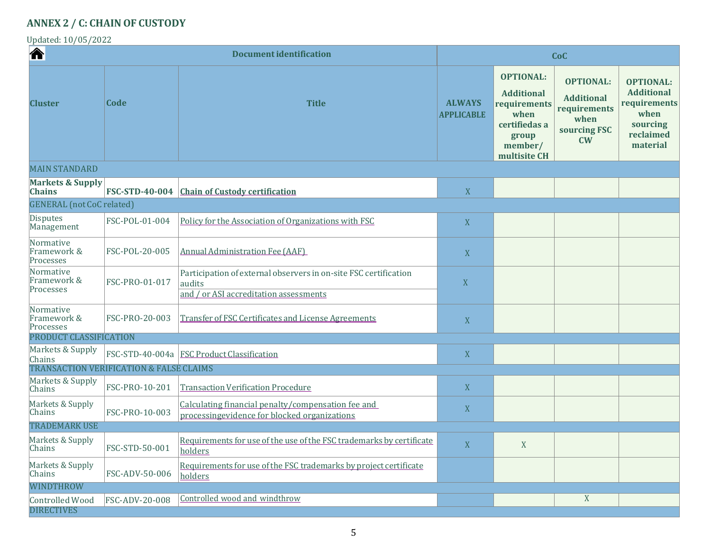# **ANNEX 2 / C: CHAINOF CUSTODY**

[Upda](#page-0-0)ted: 10/05/2022

<span id="page-4-0"></span>

| 合<br><b>Document identification</b>                |                |                                                                                                                      | <b>CoC</b>                         |                                                                                                                    |                                                                                                         |                                                                                                    |
|----------------------------------------------------|----------------|----------------------------------------------------------------------------------------------------------------------|------------------------------------|--------------------------------------------------------------------------------------------------------------------|---------------------------------------------------------------------------------------------------------|----------------------------------------------------------------------------------------------------|
| <b>Cluster</b>                                     | Code           | <b>Title</b>                                                                                                         | <b>ALWAYS</b><br><b>APPLICABLE</b> | <b>OPTIONAL:</b><br><b>Additional</b><br>requirements<br>when<br>certifiedas a<br>group<br>member/<br>multisite CH | <b>OPTIONAL:</b><br><b>Additional</b><br>requirements<br>when<br>sourcing FSC<br>$\mathbf{C}\mathbf{W}$ | <b>OPTIONAL:</b><br><b>Additional</b><br>requirements<br>when<br>sourcing<br>reclaimed<br>material |
| <b>MAIN STANDARD</b>                               |                |                                                                                                                      |                                    |                                                                                                                    |                                                                                                         |                                                                                                    |
| <b>Markets &amp; Supply</b><br><b>Chains</b>       |                | FSC-STD-40-004 Chain of Custody certification                                                                        | $\mathbf X$                        |                                                                                                                    |                                                                                                         |                                                                                                    |
| <b>GENERAL</b> (not CoC related)                   |                |                                                                                                                      |                                    |                                                                                                                    |                                                                                                         |                                                                                                    |
| <b>Disputes</b><br>Management                      | FSC-POL-01-004 | Policy for the Association of Organizations with FSC                                                                 | $\mathbf X$                        |                                                                                                                    |                                                                                                         |                                                                                                    |
| Normative<br>Framework &<br>Processes              | FSC-POL-20-005 | <b>Annual Administration Fee (AAF)</b>                                                                               | $\mathbf X$                        |                                                                                                                    |                                                                                                         |                                                                                                    |
| Normative<br>Framework &<br>Processes              | FSC-PRO-01-017 | Participation of external observers in on-site FSC certification<br>audits<br>and / or ASI accreditation assessments | $\mathbf X$                        |                                                                                                                    |                                                                                                         |                                                                                                    |
| Normative<br>Framework &<br>Processes              | FSC-PRO-20-003 | Transfer of FSC Certificates and License Agreements                                                                  | $\mathbf X$                        |                                                                                                                    |                                                                                                         |                                                                                                    |
| PRODUCT CLASSIFICATION                             |                |                                                                                                                      |                                    |                                                                                                                    |                                                                                                         |                                                                                                    |
| Markets & Supply<br>Chains                         |                | FSC-STD-40-004a FSC Product Classification                                                                           | X                                  |                                                                                                                    |                                                                                                         |                                                                                                    |
| <b>TRANSACTION VERIFICATION &amp; FALSE CLAIMS</b> |                |                                                                                                                      |                                    |                                                                                                                    |                                                                                                         |                                                                                                    |
| Markets & Supply<br>Chains                         | FSC-PRO-10-201 | <b>Transaction Verification Procedure</b>                                                                            | $\mathbf X$                        |                                                                                                                    |                                                                                                         |                                                                                                    |
| Markets & Supply<br>Chains                         | FSC-PRO-10-003 | Calculating financial penalty/compensation fee and<br>processingevidence for blocked organizations                   | $\mathbf X$                        |                                                                                                                    |                                                                                                         |                                                                                                    |
| <b>TRADEMARK USE</b>                               |                |                                                                                                                      |                                    |                                                                                                                    |                                                                                                         |                                                                                                    |
| Markets & Supply<br>Chains                         | FSC-STD-50-001 | Requirements for use of the use of the FSC trademarks by certificate<br>holders                                      | $\boldsymbol{\mathrm{X}}$          | X                                                                                                                  |                                                                                                         |                                                                                                    |
| Markets & Supply<br>Chains                         | FSC-ADV-50-006 | Requirements for use of the FSC trademarks by project certificate<br>holders                                         |                                    |                                                                                                                    |                                                                                                         |                                                                                                    |
| <b>WINDTHROW</b>                                   |                |                                                                                                                      |                                    |                                                                                                                    |                                                                                                         |                                                                                                    |
| Controlled Wood<br><b>DIRECTIVES</b>               | FSC-ADV-20-008 | Controlled wood and windthrow                                                                                        |                                    |                                                                                                                    | X                                                                                                       |                                                                                                    |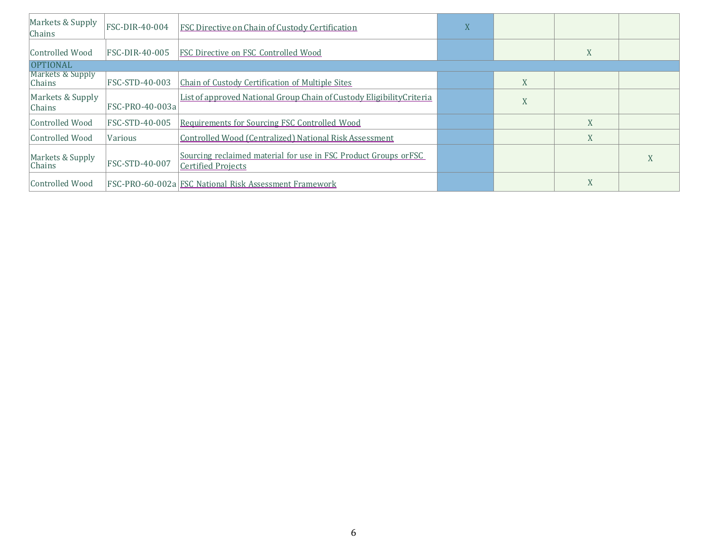| Markets & Supply<br>Chains | FSC-DIR-40-004        | <b>FSC Directive on Chain of Custody Certification</b>                                        | X |                   |             |   |
|----------------------------|-----------------------|-----------------------------------------------------------------------------------------------|---|-------------------|-------------|---|
| Controlled Wood            | <b>FSC-DIR-40-005</b> | FSC Directive on FSC Controlled Wood                                                          |   |                   | X           |   |
| <b>OPTIONAL</b>            |                       |                                                                                               |   |                   |             |   |
| Markets & Supply<br>Chains | FSC-STD-40-003        | Chain of Custody Certification of Multiple Sites                                              |   | X                 |             |   |
| Markets & Supply<br>Chains | FSC-PRO-40-003a       | List of approved National Group Chain of Custody Eligibility Criteria                         |   | $\mathbf{V}$<br>A |             |   |
| Controlled Wood            | FSC-STD-40-005        | Requirements for Sourcing FSC Controlled Wood                                                 |   |                   | X           |   |
| Controlled Wood            | Various               | Controlled Wood (Centralized) National Risk Assessment                                        |   |                   | $\mathbf X$ |   |
| Markets & Supply<br>Chains | FSC-STD-40-007        | Sourcing reclaimed material for use in FSC Product Groups or FSC<br><b>Certified Projects</b> |   |                   |             | X |
| Controlled Wood            |                       | <b>FSC-PRO-60-002a FSC National Risk Assessment Framework</b>                                 |   |                   | X           |   |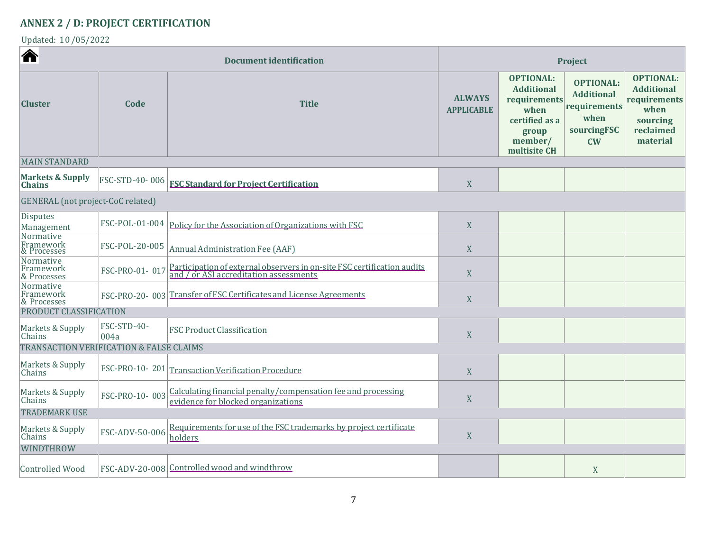# **ANNEX 2 / D: PROJECT CERTIFICATION**

[Upda](#page-0-0)ted: 10/05/2022

<span id="page-6-0"></span>

| 合<br><b>Document identification</b>          |                     | Project                                                                                                           |                                    |                                                                                                                     |                                                                                    |                                                                                                    |
|----------------------------------------------|---------------------|-------------------------------------------------------------------------------------------------------------------|------------------------------------|---------------------------------------------------------------------------------------------------------------------|------------------------------------------------------------------------------------|----------------------------------------------------------------------------------------------------|
| <b>Cluster</b>                               | Code                | <b>Title</b>                                                                                                      | <b>ALWAYS</b><br><b>APPLICABLE</b> | <b>OPTIONAL:</b><br><b>Additional</b><br>requirements<br>when<br>certified as a<br>group<br>member/<br>multisite CH | <b>OPTIONAL:</b><br><b>Additional</b><br>requirements<br>when<br>sourcingFSC<br>CW | <b>OPTIONAL:</b><br><b>Additional</b><br>requirements<br>when<br>sourcing<br>reclaimed<br>material |
| <b>MAIN STANDARD</b>                         |                     |                                                                                                                   |                                    |                                                                                                                     |                                                                                    |                                                                                                    |
| <b>Markets &amp; Supply</b><br><b>Chains</b> | FSC-STD-40-006      | <b>FSC Standard for Project Certification</b>                                                                     | X                                  |                                                                                                                     |                                                                                    |                                                                                                    |
| GENERAL (not project-CoC related)            |                     |                                                                                                                   |                                    |                                                                                                                     |                                                                                    |                                                                                                    |
| Disputes<br>Management                       | FSC-POL-01-004      | Policy for the Association of Organizations with FSC                                                              | X                                  |                                                                                                                     |                                                                                    |                                                                                                    |
| Normative<br>Framework<br>& Processes        | FSC-POL-20-005      | <b>Annual Administration Fee (AAF)</b>                                                                            | X                                  |                                                                                                                     |                                                                                    |                                                                                                    |
| Normative<br>Framework<br>& Processes        | FSC-PRO-01-017      | Participation of external observers in on-site FSC certification audits<br>and / or ASI accreditation assessments | X                                  |                                                                                                                     |                                                                                    |                                                                                                    |
| Normative<br>Framework<br>& Processes        |                     | FSC-PRO-20- 003 Transfer of FSC Certificates and License Agreements                                               | X                                  |                                                                                                                     |                                                                                    |                                                                                                    |
| PRODUCT CLASSIFICATION                       |                     |                                                                                                                   |                                    |                                                                                                                     |                                                                                    |                                                                                                    |
| Markets & Supply<br>Chains                   | FSC-STD-40-<br>004a | <b>FSC Product Classification</b>                                                                                 | $\mathbf X$                        |                                                                                                                     |                                                                                    |                                                                                                    |
| TRANSACTION VERIFICATION & FALSE CLAIMS      |                     |                                                                                                                   |                                    |                                                                                                                     |                                                                                    |                                                                                                    |
| Markets & Supply<br>Chains                   | FSC-PRO-10-201      | <b>Transaction Verification Procedure</b>                                                                         | X                                  |                                                                                                                     |                                                                                    |                                                                                                    |
| Markets & Supply<br>Chains                   | FSC-PRO-10-003      | Calculating financial penalty/compensation fee and processing<br>evidence for blocked organizations               | X                                  |                                                                                                                     |                                                                                    |                                                                                                    |
| <b>TRADEMARK USE</b>                         |                     |                                                                                                                   |                                    |                                                                                                                     |                                                                                    |                                                                                                    |
| Markets & Supply<br>Chains                   | FSC-ADV-50-006      | Requirements for use of the FSC trademarks by project certificate<br>holders                                      | X                                  |                                                                                                                     |                                                                                    |                                                                                                    |
| <b>WINDTHROW</b>                             |                     |                                                                                                                   |                                    |                                                                                                                     |                                                                                    |                                                                                                    |
| <b>Controlled Wood</b>                       |                     | FSC-ADV-20-008 Controlled wood and windthrow                                                                      |                                    |                                                                                                                     | $\mathbf X$                                                                        |                                                                                                    |